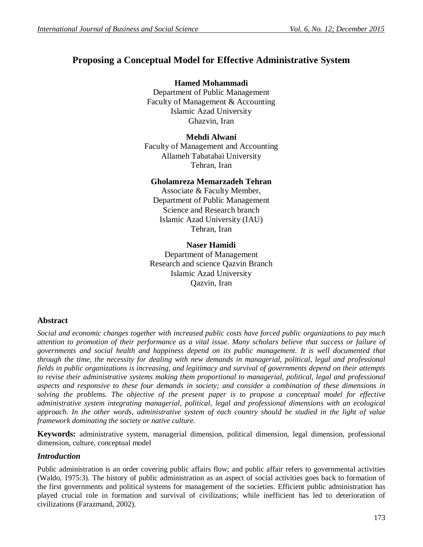# **Proposing a Conceptual Model for Effective Administrative System**

**Hamed Mohammadi** Department of Public Management Faculty of Management & Accounting Islamic Azad University Ghazvin, Iran

#### **Mehdi Alwani**

Faculty of Management and Accounting Allameh Tabatabai University Tehran, Iran

#### **Gholamreza Memarzadeh Tehran**

Associate & Faculty Member, Department of Public Management Science and Research branch Islamic Azad University (IAU) Tehran, Iran

#### **Naser Hamidi**

Department of Management Research and science Qazvin Branch Islamic Azad University Qazvin, Iran

## **Abstract**

*Social and economic changes together with increased public costs have forced public organizations to pay much attention to promotion of their performance as a vital issue. Many scholars believe that success or failure of governments and social health and happiness depend on its public management. It is well documented that through the time, the necessity for dealing with new demands in managerial, political, legal and professional fields in public organizations is increasing, and legitimacy and survival of governments depend on their attempts to revise their administrative systems making them proportional to managerial, political, legal and professional aspects and responsive to these four demands in society; and consider a combination of these dimensions in solving the problems. The objective of the present paper is to propose a conceptual model for effective administrative system integrating managerial, political, legal and professional dimensions with an ecological approach. In the other words, administrative system of each country should be studied in the light of value framework dominating the society or native culture.*

**Keywords:** administrative system, managerial dimension, political dimension, legal dimension, professional dimension, culture, conceptual model

## *Introduction*

Public administration is an order covering public affairs flow; and public affair refers to governmental activities (Waldo, 1975:3). The history of public administration as an aspect of social activities goes back to formation of the first governments and political systems for management of the societies. Efficient public administration has played crucial role in formation and survival of civilizations; while inefficient has led to deterioration of civilizations (Farazmand, 2002).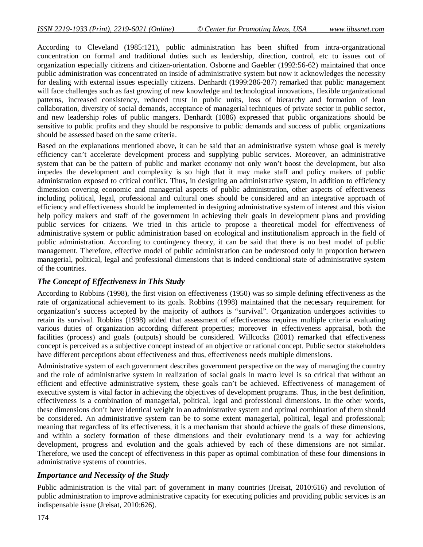According to Cleveland (1985:121), public administration has been shifted from intra-organizational concentration on formal and traditional duties such as leadership, direction, control, etc to issues out of organization especially citizens and citizen-orientation. Osborne and Gaebler (1992:56-62) maintained that once public administration was concentrated on inside of administrative system but now it acknowledges the necessity for dealing with external issues especially citizens. Denhardt (1999:286-287) remarked that public management will face challenges such as fast growing of new knowledge and technological innovations, flexible organizational patterns, increased consistency, reduced trust in public units, loss of hierarchy and formation of lean collaboration, diversity of social demands, acceptance of managerial techniques of private sector in public sector, and new leadership roles of public mangers. Denhardt (1086) expressed that public organizations should be sensitive to public profits and they should be responsive to public demands and success of public organizations should be assessed based on the same criteria.

Based on the explanations mentioned above, it can be said that an administrative system whose goal is merely efficiency can't accelerate development process and supplying public services. Moreover, an administrative system that can be the pattern of public and market economy not only won't boost the development, but also impedes the development and complexity is so high that it may make staff and policy makers of public administration exposed to critical conflict. Thus, in designing an administrative system, in addition to efficiency dimension covering economic and managerial aspects of public administration, other aspects of effectiveness including political, legal, professional and cultural ones should be considered and an integrative approach of efficiency and effectiveness should be implemented in designing administrative system of interest and this vision help policy makers and staff of the government in achieving their goals in development plans and providing public services for citizens. We tried in this article to propose a theoretical model for effectiveness of administrative system or public administration based on ecological and institutionalism approach in the field of public administration. According to contingency theory, it can be said that there is no best model of public management. Therefore, effective model of public administration can be understood only in proportion between managerial, political, legal and professional dimensions that is indeed conditional state of administrative system of the countries.

## *The Concept of Effectiveness in This Study*

According to Robbins (1998), the first vision on effectiveness (1950) was so simple defining effectiveness as the rate of organizational achievement to its goals. Robbins (1998) maintained that the necessary requirement for organization's success accepted by the majority of authors is "survival". Organization undergoes activities to retain its survival. Robbins (1998) added that assessment of effectiveness requires multiple criteria evaluating various duties of organization according different properties; moreover in effectiveness appraisal, both the facilities (process) and goals (outputs) should be considered. Willcocks (2001) remarked that effectiveness concept is perceived as a subjective concept instead of an objective or rational concept. Public sector stakeholders have different perceptions about effectiveness and thus, effectiveness needs multiple dimensions.

Administrative system of each government describes government perspective on the way of managing the country and the role of administrative system in realization of social goals in macro level is so critical that without an efficient and effective administrative system, these goals can't be achieved. Effectiveness of management of executive system is vital factor in achieving the objectives of development programs. Thus, in the best definition, effectiveness is a combination of managerial, political, legal and professional dimensions. In the other words, these dimensions don't have identical weight in an administrative system and optimal combination of them should be considered. An administrative system can be to some extent managerial, political, legal and professional; meaning that regardless of its effectiveness, it is a mechanism that should achieve the goals of these dimensions, and within a society formation of these dimensions and their evolutionary trend is a way for achieving development, progress and evolution and the goals achieved by each of these dimensions are not similar. Therefore, we used the concept of effectiveness in this paper as optimal combination of these four dimensions in administrative systems of countries.

## *Importance and Necessity of the Study*

Public administration is the vital part of government in many countries (Jreisat, 2010:616) and revolution of public administration to improve administrative capacity for executing policies and providing public services is an indispensable issue (Jreisat, 2010:626).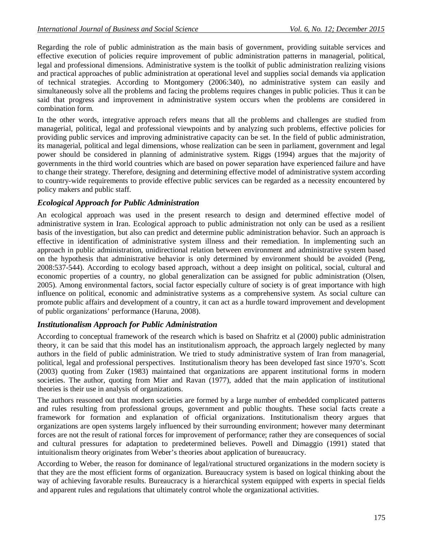Regarding the role of public administration as the main basis of government, providing suitable services and effective execution of policies require improvement of public administration patterns in managerial, political, legal and professional dimensions. Administrative system is the toolkit of public administration realizing visions and practical approaches of public administration at operational level and supplies social demands via application of technical strategies. According to Montgomery (2006:340), no administrative system can easily and simultaneously solve all the problems and facing the problems requires changes in public policies. Thus it can be said that progress and improvement in administrative system occurs when the problems are considered in combination form.

In the other words, integrative approach refers means that all the problems and challenges are studied from managerial, political, legal and professional viewpoints and by analyzing such problems, effective policies for providing public services and improving administrative capacity can be set. In the field of public administration, its managerial, political and legal dimensions, whose realization can be seen in parliament, government and legal power should be considered in planning of administrative system. Riggs (1994) argues that the majority of governments in the third world countries which are based on power separation have experienced failure and have to change their strategy. Therefore, designing and determining effective model of administrative system according to country-wide requirements to provide effective public services can be regarded as a necessity encountered by policy makers and public staff.

## *Ecological Approach for Public Administration*

An ecological approach was used in the present research to design and determined effective model of administrative system in Iran. Ecological approach to public administration not only can be used as a resilient basis of the investigation, but also can predict and determine public administration behavior. Such an approach is effective in identification of administrative system illness and their remediation. In implementing such an approach in public administration, unidirectional relation between environment and administrative system based on the hypothesis that administrative behavior is only determined by environment should be avoided (Peng, 2008:537-544). According to ecology based approach, without a deep insight on political, social, cultural and economic properties of a country, no global generalization can be assigned for public administration (Olsen, 2005). Among environmental factors, social factor especially culture of society is of great importance with high influence on political, economic and administrative systems as a comprehensive system. As social culture can promote public affairs and development of a country, it can act as a hurdle toward improvement and development of public organizations' performance (Haruna, 2008).

## *Institutionalism Approach for Public Administration*

According to conceptual framework of the research which is based on Shafritz et al (2000) public administration theory, it can be said that this model has an institutionalism approach, the approach largely neglected by many authors in the field of public administration. We tried to study administrative system of Iran from managerial, political, legal and professional perspectives. Institutionalism theory has been developed fast since 1970's. Scott (2003) quoting from Zuker (1983) maintained that organizations are apparent institutional forms in modern societies. The author, quoting from Mier and Ravan (1977), added that the main application of institutional theories is their use in analysis of organizations.

The authors reasoned out that modern societies are formed by a large number of embedded complicated patterns and rules resulting from professional groups, government and public thoughts. These social facts create a framework for formation and explanation of official organizations. Institutionalism theory argues that organizations are open systems largely influenced by their surrounding environment; however many determinant forces are not the result of rational forces for improvement of performance; rather they are consequences of social and cultural pressures for adaptation to predetermined believes. Powell and Dimaggio (1991) stated that intuitionalism theory originates from Weber's theories about application of bureaucracy.

According to Weber, the reason for dominance of legal/rational structured organizations in the modern society is that they are the most efficient forms of organization. Bureaucracy system is based on logical thinking about the way of achieving favorable results. Bureaucracy is a hierarchical system equipped with experts in special fields and apparent rules and regulations that ultimately control whole the organizational activities.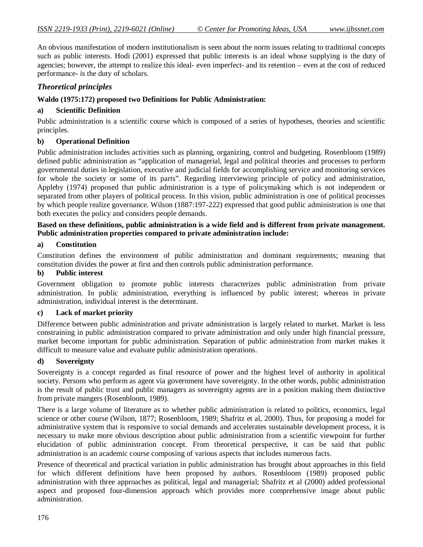An obvious manifestation of modern institutionalism is seen about the norm issues relating to traditional concepts such as public interests. Hodi (2001) expressed that public interests is an ideal whose supplying is the duty of agencies; however, the attempt to realize this ideal- even imperfect- and its retention – even at the cost of reduced performance- is the duty of scholars.

## *Theoretical principles*

## **Waldo (1975:172) proposed two Definitions for Public Administration:**

## **a) Scientific Definition**

Public administration is a scientific course which is composed of a series of hypotheses, theories and scientific principles.

## **b) Operational Definition**

Public administration includes activities such as planning, organizing, control and budgeting. Rosenbloom (1989) defined public administration as "application of managerial, legal and political theories and processes to perform governmental duties in legislation, executive and judicial fields for accomplishing service and monitoring services for whole the society or some of its parts". Regarding interviewing principle of policy and administration, Appleby (1974) proposed that public administration is a type of policymaking which is not independent or separated from other players of political process. In this vision, public administration is one of political processes by which people realize governance. Wilson (1887:197-222) expressed that good public administration is one that both executes the policy and considers people demands.

#### **Based on these definitions, public administration is a wide field and is different from private management. Public administration properties compared to private administration include:**

## **a) Constitution**

Constitution defines the environment of public administration and dominant requirements; meaning that constitution divides the power at first and then controls public administration performance.

## **b) Public interest**

Government obligation to promote public interests characterizes public administration from private administration. In public administration, everything is influenced by public interest; whereas in private administration, individual interest is the determinant.

## **c) Lack of market priority**

Difference between public administration and private administration is largely related to market. Market is less constraining in public administration compared to private administration and only under high financial pressure, market become important for public administration. Separation of public administration from market makes it difficult to measure value and evaluate public administration operations.

## **d) Sovereignty**

Sovereignty is a concept regarded as final resource of power and the highest level of authority in apolitical society. Persons who perform as agent via government have sovereignty. In the other words, public administration is the result of public trust and public managers as sovereignty agents are in a position making them distinctive from private mangers (Rosenbloom, 1989).

There is a large volume of literature as to whether public administration is related to politics, economics, legal science or other course (Wilson, 1877; Rosenbloom, 1989; Shafritz et al, 2000). Thus, for proposing a model for administrative system that is responsive to social demands and accelerates sustainable development process, it is necessary to make more obvious description about public administration from a scientific viewpoint for further elucidation of public administration concept. From theoretical perspective, it can be said that public administration is an academic course composing of various aspects that includes numerous facts.

Presence of theoretical and practical variation in public administration has brought about approaches in this field for which different definitions have been proposed by authors. Rosenbloom (1989) proposed public administration with three approaches as political, legal and managerial; Shafritz et al (2000) added professional aspect and proposed four-dimension approach which provides more comprehensive image about public administration.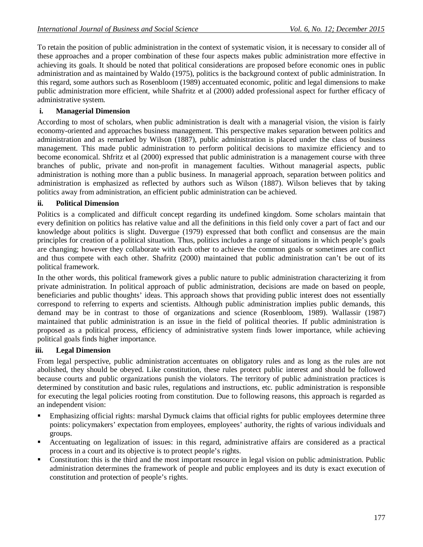To retain the position of public administration in the context of systematic vision, it is necessary to consider all of these approaches and a proper combination of these four aspects makes public administration more effective in achieving its goals. It should be noted that political considerations are proposed before economic ones in public administration and as maintained by Waldo (1975), politics is the background context of public administration. In this regard, some authors such as Rosenbloom (1989) accentuated economic, politic and legal dimensions to make public administration more efficient, while Shafritz et al (2000) added professional aspect for further efficacy of administrative system.

## **i. Managerial Dimension**

According to most of scholars, when public administration is dealt with a managerial vision, the vision is fairly economy-oriented and approaches business management. This perspective makes separation between politics and administration and as remarked by Wilson (1887), public administration is placed under the class of business management. This made public administration to perform political decisions to maximize efficiency and to become economical. Shfritz et al (2000) expressed that public administration is a management course with three branches of public, private and non-profit in management faculties. Without managerial aspects, public administration is nothing more than a public business. In managerial approach, separation between politics and administration is emphasized as reflected by authors such as Wilson (1887). Wilson believes that by taking politics away from administration, an efficient public administration can be achieved.

## **ii. Political Dimension**

Politics is a complicated and difficult concept regarding its undefined kingdom. Some scholars maintain that every definition on politics has relative value and all the definitions in this field only cover a part of fact and our knowledge about politics is slight. Duvergue (1979) expressed that both conflict and consensus are the main principles for creation of a political situation. Thus, politics includes a range of situations in which people's goals are changing; however they collaborate with each other to achieve the common goals or sometimes are conflict and thus compete with each other. Shafritz (2000) maintained that public administration can't be out of its political framework.

In the other words, this political framework gives a public nature to public administration characterizing it from private administration. In political approach of public administration, decisions are made on based on people, beneficiaries and public thoughts' ideas. This approach shows that providing public interest does not essentially correspond to referring to experts and scientists. Although public administration implies public demands, this demand may be in contrast to those of organizations and science (Rosenbloom, 1989). Wallassir (1987) maintained that public administration is an issue in the field of political theories. If public administration is proposed as a political process, efficiency of administrative system finds lower importance, while achieving political goals finds higher importance.

## **iii. Legal Dimension**

From legal perspective, public administration accentuates on obligatory rules and as long as the rules are not abolished, they should be obeyed. Like constitution, these rules protect public interest and should be followed because courts and public organizations punish the violators. The territory of public administration practices is determined by constitution and basic rules, regulations and instructions, etc. public administration is responsible for executing the legal policies rooting from constitution. Due to following reasons, this approach is regarded as an independent vision:

- Emphasizing official rights: marshal Dymuck claims that official rights for public employees determine three points: policymakers' expectation from employees, employees' authority, the rights of various individuals and groups.
- Accentuating on legalization of issues: in this regard, administrative affairs are considered as a practical process in a court and its objective is to protect people's rights.
- Constitution: this is the third and the most important resource in legal vision on public administration. Public administration determines the framework of people and public employees and its duty is exact execution of constitution and protection of people's rights.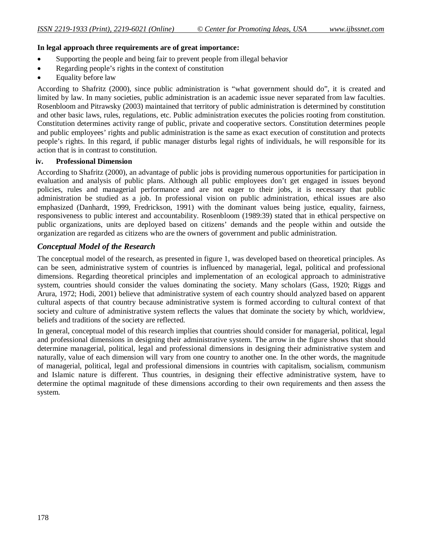## **In legal approach three requirements are of great importance:**

- Supporting the people and being fair to prevent people from illegal behavior
- Regarding people's rights in the context of constitution
- Equality before law

According to Shafritz (2000), since public administration is "what government should do", it is created and limited by law. In many societies, public administration is an academic issue never separated from law faculties. Rosenbloom and Pitrawsky (2003) maintained that territory of public administration is determined by constitution and other basic laws, rules, regulations, etc. Public administration executes the policies rooting from constitution. Constitution determines activity range of public, private and cooperative sectors. Constitution determines people and public employees' rights and public administration is the same as exact execution of constitution and protects people's rights. In this regard, if public manager disturbs legal rights of individuals, he will responsible for its action that is in contrast to constitution.

## **iv. Professional Dimension**

According to Shafritz (2000), an advantage of public jobs is providing numerous opportunities for participation in evaluation and analysis of public plans. Although all public employees don't get engaged in issues beyond policies, rules and managerial performance and are not eager to their jobs, it is necessary that public administration be studied as a job. In professional vision on public administration, ethical issues are also emphasized (Danhardt, 1999, Fredrickson, 1991) with the dominant values being justice, equality, fairness, responsiveness to public interest and accountability. Rosenbloom (1989:39) stated that in ethical perspective on public organizations, units are deployed based on citizens' demands and the people within and outside the organization are regarded as citizens who are the owners of government and public administration.

## *Conceptual Model of the Research*

The conceptual model of the research, as presented in figure 1, was developed based on theoretical principles. As can be seen, administrative system of countries is influenced by managerial, legal, political and professional dimensions. Regarding theoretical principles and implementation of an ecological approach to administrative system, countries should consider the values dominating the society. Many scholars (Gass, 1920; Riggs and Arura, 1972; Hodi, 2001) believe that administrative system of each country should analyzed based on apparent cultural aspects of that country because administrative system is formed according to cultural context of that society and culture of administrative system reflects the values that dominate the society by which, worldview, beliefs and traditions of the society are reflected.

In general, conceptual model of this research implies that countries should consider for managerial, political, legal and professional dimensions in designing their administrative system. The arrow in the figure shows that should determine managerial, political, legal and professional dimensions in designing their administrative system and naturally, value of each dimension will vary from one country to another one. In the other words, the magnitude of managerial, political, legal and professional dimensions in countries with capitalism, socialism, communism and Islamic nature is different. Thus countries, in designing their effective administrative system, have to determine the optimal magnitude of these dimensions according to their own requirements and then assess the system.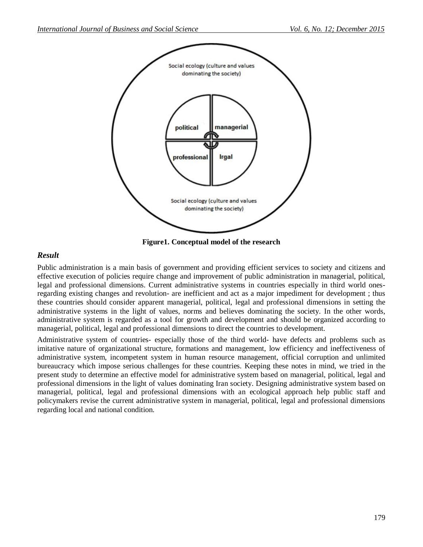

**Figure1. Conceptual model of the research**

## *Result*

Public administration is a main basis of government and providing efficient services to society and citizens and effective execution of policies require change and improvement of public administration in managerial, political, legal and professional dimensions. Current administrative systems in countries especially in third world onesregarding existing changes and revolution- are inefficient and act as a major impediment for development ; thus these countries should consider apparent managerial, political, legal and professional dimensions in setting the administrative systems in the light of values, norms and believes dominating the society. In the other words, administrative system is regarded as a tool for growth and development and should be organized according to managerial, political, legal and professional dimensions to direct the countries to development.

Administrative system of countries- especially those of the third world- have defects and problems such as imitative nature of organizational structure, formations and management, low efficiency and ineffectiveness of administrative system, incompetent system in human resource management, official corruption and unlimited bureaucracy which impose serious challenges for these countries. Keeping these notes in mind, we tried in the present study to determine an effective model for administrative system based on managerial, political, legal and professional dimensions in the light of values dominating Iran society. Designing administrative system based on managerial, political, legal and professional dimensions with an ecological approach help public staff and policymakers revise the current administrative system in managerial, political, legal and professional dimensions regarding local and national condition.